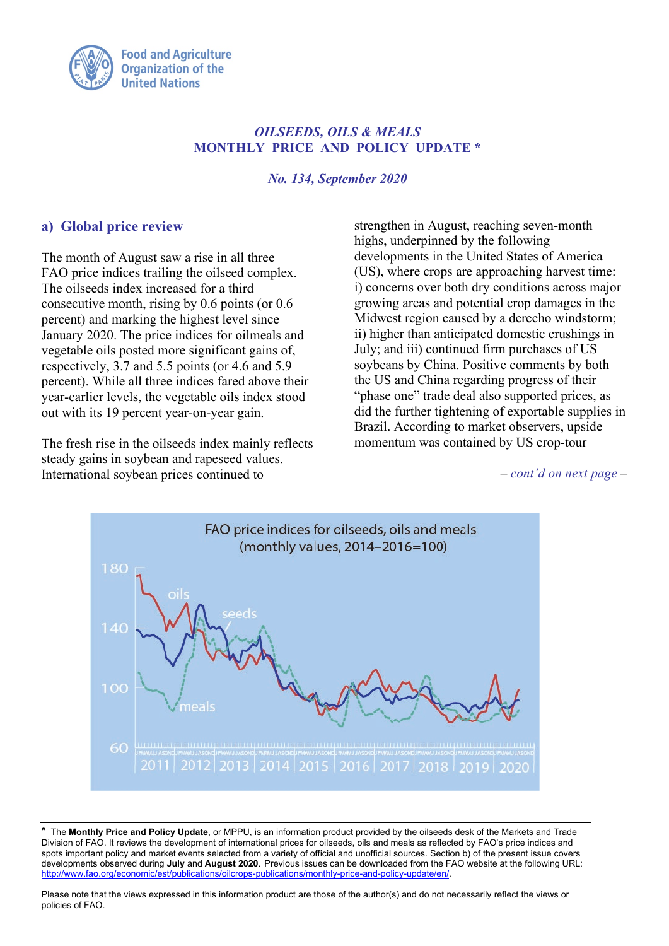

## *OILSEEDS, OILS & MEALS* **MONTHLY PRICE AND POLICY UPDATE \***

*No. 134, September 2020*

## **a) Global price review**

The month of August saw a rise in all three FAO price indices trailing the oilseed complex. The oilseeds index increased for a third consecutive month, rising by 0.6 points (or 0.6 percent) and marking the highest level since January 2020. The price indices for oilmeals and vegetable oils posted more significant gains of, respectively, 3.7 and 5.5 points (or 4.6 and 5.9 percent). While all three indices fared above their year-earlier levels, the vegetable oils index stood out with its 19 percent year-on-year gain.

The fresh rise in the oilseeds index mainly reflects steady gains in soybean and rapeseed values. International soybean prices continued to

strengthen in August, reaching seven-month highs, underpinned by the following developments in the United States of America (US), where crops are approaching harvest time: i) concerns over both dry conditions across major growing areas and potential crop damages in the Midwest region caused by a derecho windstorm; ii) higher than anticipated domestic crushings in July; and iii) continued firm purchases of US soybeans by China. Positive comments by both the US and China regarding progress of their "phase one" trade deal also supported prices, as did the further tightening of exportable supplies in Brazil. According to market observers, upside momentum was contained by US crop-tour

*– cont'd on next page –*



\* The **Monthly Price and Policy Update**, or MPPU, is an information product provided by the oilseeds desk of the Markets and Trade Division of FAO. It reviews the development of international prices for oilseeds, oils and meals as reflected by FAO's price indices and spots important policy and market events selected from a variety of official and unofficial sources. Section b) of the present issue covers developments observed during **July** and **August 2020**. Previous issues can be downloaded from the FAO website at the following URL: [http://www.fao.org/economic/est/publications/oilcrops-publications/monthly-price-and-policy-update/en/.](http://www.fao.org/economic/est/publications/oilcrops-publications/monthly-price-and-policy-update/en/)

Please note that the views expressed in this information product are those of the author(s) and do not necessarily reflect the views or policies of FAO.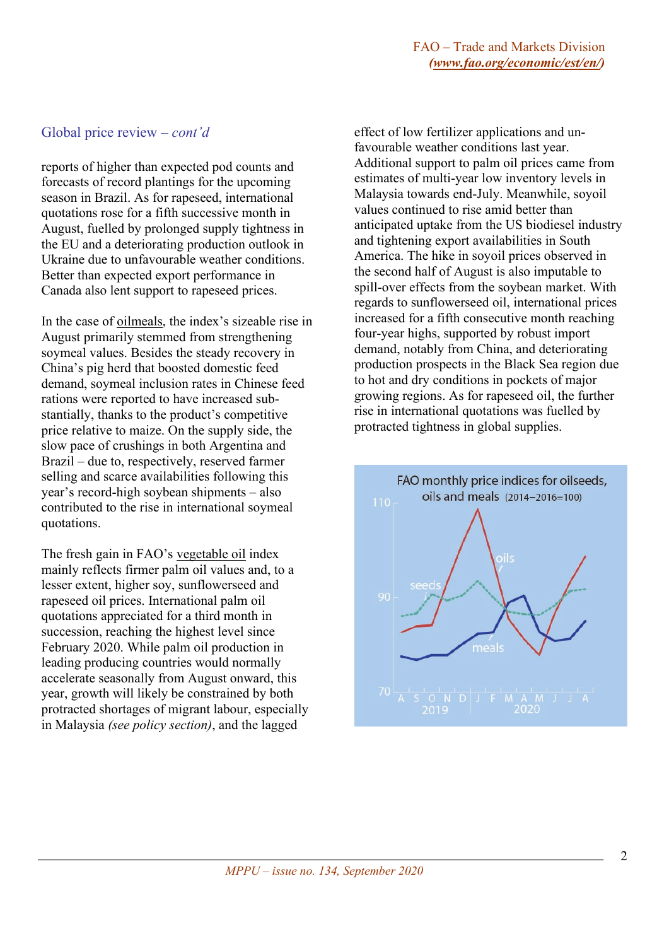#### Global price review *– cont'd*

reports of higher than expected pod counts and forecasts of record plantings for the upcoming season in Brazil. As for rapeseed, international quotations rose for a fifth successive month in August, fuelled by prolonged supply tightness in the EU and a deteriorating production outlook in Ukraine due to unfavourable weather conditions. Better than expected export performance in Canada also lent support to rapeseed prices.

In the case of oilmeals, the index's sizeable rise in August primarily stemmed from strengthening soymeal values. Besides the steady recovery in China's pig herd that boosted domestic feed demand, soymeal inclusion rates in Chinese feed rations were reported to have increased substantially, thanks to the product's competitive price relative to maize. On the supply side, the slow pace of crushings in both Argentina and Brazil – due to, respectively, reserved farmer selling and scarce availabilities following this year's record-high soybean shipments – also contributed to the rise in international soymeal quotations.

The fresh gain in FAO's vegetable oil index mainly reflects firmer palm oil values and, to a lesser extent, higher soy, sunflowerseed and rapeseed oil prices. International palm oil quotations appreciated for a third month in succession, reaching the highest level since February 2020. While palm oil production in leading producing countries would normally accelerate seasonally from August onward, this year, growth will likely be constrained by both protracted shortages of migrant labour, especially in Malaysia *(see policy section)*, and the lagged

effect of low fertilizer applications and unfavourable weather conditions last year. Additional support to palm oil prices came from estimates of multi-year low inventory levels in Malaysia towards end-July. Meanwhile, soyoil values continued to rise amid better than anticipated uptake from the US biodiesel industry and tightening export availabilities in South America. The hike in soyoil prices observed in the second half of August is also imputable to spill-over effects from the soybean market. With regards to sunflowerseed oil, international prices increased for a fifth consecutive month reaching four-year highs, supported by robust import demand, notably from China, and deteriorating production prospects in the Black Sea region due to hot and dry conditions in pockets of major growing regions. As for rapeseed oil, the further rise in international quotations was fuelled by protracted tightness in global supplies.

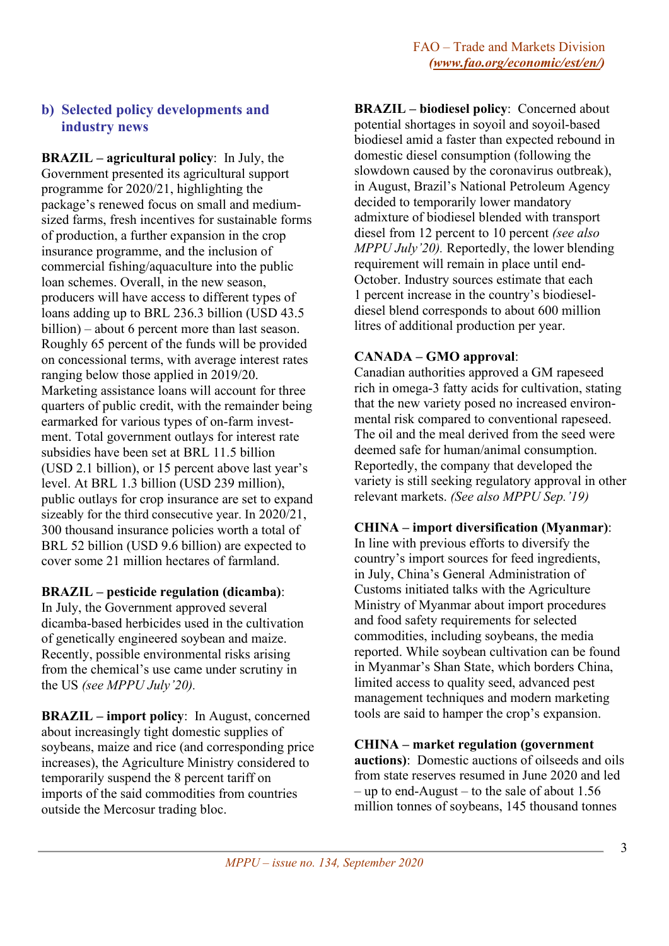# **b) Selected policy developments and industry news**

**BRAZIL – agricultural policy**: In July, the Government presented its agricultural support programme for 2020/21, highlighting the package's renewed focus on small and mediumsized farms, fresh incentives for sustainable forms of production, a further expansion in the crop insurance programme, and the inclusion of commercial fishing/aquaculture into the public loan schemes. Overall, in the new season, producers will have access to different types of loans adding up to BRL 236.3 billion (USD 43.5 billion) – about 6 percent more than last season. Roughly 65 percent of the funds will be provided on concessional terms, with average interest rates ranging below those applied in 2019/20. Marketing assistance loans will account for three quarters of public credit, with the remainder being earmarked for various types of on-farm investment. Total government outlays for interest rate subsidies have been set at BRL 11.5 billion (USD 2.1 billion), or 15 percent above last year's level. At BRL 1.3 billion (USD 239 million), public outlays for crop insurance are set to expand sizeably for the third consecutive year. In 2020/21, 300 thousand insurance policies worth a total of BRL 52 billion (USD 9.6 billion) are expected to cover some 21 million hectares of farmland.

## **BRAZIL – pesticide regulation (dicamba)**:

In July, the Government approved several dicamba-based herbicides used in the cultivation of genetically engineered soybean and maize. Recently, possible environmental risks arising from the chemical's use came under scrutiny in the US *(see MPPU July'20).*

**BRAZIL – import policy**: In August, concerned about increasingly tight domestic supplies of soybeans, maize and rice (and corresponding price increases), the Agriculture Ministry considered to temporarily suspend the 8 percent tariff on imports of the said commodities from countries outside the Mercosur trading bloc.

**BRAZIL – biodiesel policy**: Concerned about potential shortages in soyoil and soyoil-based biodiesel amid a faster than expected rebound in domestic diesel consumption (following the slowdown caused by the coronavirus outbreak), in August, Brazil's National Petroleum Agency decided to temporarily lower mandatory admixture of biodiesel blended with transport diesel from 12 percent to 10 percent *(see also MPPU July'20).* Reportedly, the lower blending requirement will remain in place until end-October. Industry sources estimate that each 1 percent increase in the country's biodieseldiesel blend corresponds to about 600 million litres of additional production per year.

#### **CANADA – GMO approval**:

Canadian authorities approved a GM rapeseed rich in omega-3 fatty acids for cultivation, stating that the new variety posed no increased environmental risk compared to conventional rapeseed. The oil and the meal derived from the seed were deemed safe for human/animal consumption. Reportedly, the company that developed the variety is still seeking regulatory approval in other relevant markets. *(See also MPPU Sep.'19)*

#### **CHINA – import diversification (Myanmar)**:

In line with previous efforts to diversify the country's import sources for feed ingredients, in July, China's General Administration of Customs initiated talks with the Agriculture Ministry of Myanmar about import procedures and food safety requirements for selected commodities, including soybeans, the media reported. While soybean cultivation can be found in Myanmar's Shan State, which borders China, limited access to quality seed, advanced pest management techniques and modern marketing tools are said to hamper the crop's expansion.

#### **CHINA – market regulation (government**

**auctions)**: Domestic auctions of oilseeds and oils from state reserves resumed in June 2020 and led – up to end-August – to the sale of about 1.56 million tonnes of soybeans, 145 thousand tonnes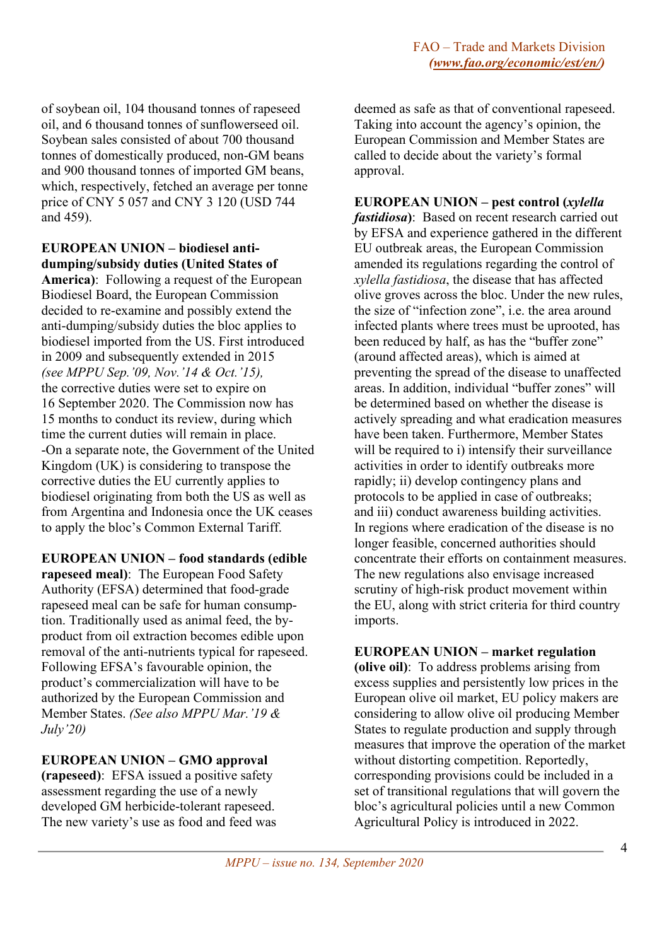of soybean oil, 104 thousand tonnes of rapeseed oil, and 6 thousand tonnes of sunflowerseed oil. Soybean sales consisted of about 700 thousand tonnes of domestically produced, non-GM beans and 900 thousand tonnes of imported GM beans, which, respectively, fetched an average per tonne price of CNY 5 057 and CNY 3 120 (USD 744 and 459).

## **EUROPEAN UNION – biodiesel antidumping/subsidy duties (United States of**

**America)**: Following a request of the European Biodiesel Board, the European Commission decided to re-examine and possibly extend the anti-dumping/subsidy duties the bloc applies to biodiesel imported from the US. First introduced in 2009 and subsequently extended in 2015 *(see MPPU Sep.'09, Nov.'14 & Oct.'15),* the corrective duties were set to expire on 16 September 2020. The Commission now has 15 months to conduct its review, during which time the current duties will remain in place. -On a separate note, the Government of the United Kingdom (UK) is considering to transpose the corrective duties the EU currently applies to biodiesel originating from both the US as well as from Argentina and Indonesia once the UK ceases to apply the bloc's Common External Tariff.

**EUROPEAN UNION – food standards (edible rapeseed meal)**: The European Food Safety Authority (EFSA) determined that food-grade rapeseed meal can be safe for human consumption. Traditionally used as animal feed, the byproduct from oil extraction becomes edible upon removal of the anti-nutrients typical for rapeseed. Following EFSA's favourable opinion, the product's commercialization will have to be authorized by the European Commission and Member States. *(See also MPPU Mar.'19 & July'20)*

# **EUROPEAN UNION – GMO approval**

**(rapeseed)**: EFSA issued a positive safety assessment regarding the use of a newly developed GM herbicide-tolerant rapeseed. The new variety's use as food and feed was

deemed as safe as that of conventional rapeseed. Taking into account the agency's opinion, the European Commission and Member States are called to decide about the variety's formal approval.

**EUROPEAN UNION – pest control (***xylella fastidiosa***)**: Based on recent research carried out by EFSA and experience gathered in the different EU outbreak areas, the European Commission amended its regulations regarding the control of *xylella fastidiosa*, the disease that has affected olive groves across the bloc. Under the new rules, the size of "infection zone", i.e. the area around infected plants where trees must be uprooted, has been reduced by half, as has the "buffer zone" (around affected areas), which is aimed at preventing the spread of the disease to unaffected areas. In addition, individual "buffer zones" will be determined based on whether the disease is actively spreading and what eradication measures have been taken. Furthermore, Member States will be required to i) intensify their surveillance activities in order to identify outbreaks more rapidly; ii) develop contingency plans and protocols to be applied in case of outbreaks; and iii) conduct awareness building activities. In regions where eradication of the disease is no longer feasible, concerned authorities should concentrate their efforts on containment measures. The new regulations also envisage increased scrutiny of high-risk product movement within the EU, along with strict criteria for third country imports.

## **EUROPEAN UNION – market regulation**

**(olive oil)**: To address problems arising from excess supplies and persistently low prices in the European olive oil market, EU policy makers are considering to allow olive oil producing Member States to regulate production and supply through measures that improve the operation of the market without distorting competition. Reportedly, corresponding provisions could be included in a set of transitional regulations that will govern the bloc's agricultural policies until a new Common Agricultural Policy is introduced in 2022.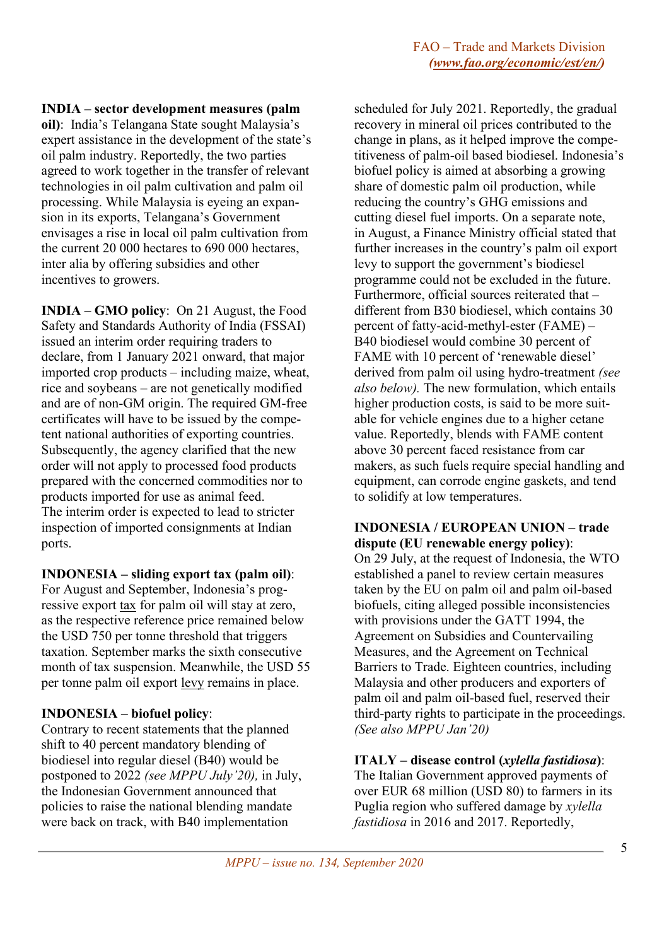## **INDIA – sector development measures (palm**

**oil)**: India's Telangana State sought Malaysia's expert assistance in the development of the state's oil palm industry. Reportedly, the two parties agreed to work together in the transfer of relevant technologies in oil palm cultivation and palm oil processing. While Malaysia is eyeing an expansion in its exports, Telangana's Government envisages a rise in local oil palm cultivation from the current 20 000 hectares to 690 000 hectares, inter alia by offering subsidies and other incentives to growers.

**INDIA – GMO policy**: On 21 August, the Food Safety and Standards Authority of India (FSSAI) issued an interim order requiring traders to declare, from 1 January 2021 onward, that major imported crop products – including maize, wheat, rice and soybeans – are not genetically modified and are of non-GM origin. The required GM-free certificates will have to be issued by the competent national authorities of exporting countries. Subsequently, the agency clarified that the new order will not apply to processed food products prepared with the concerned commodities nor to products imported for use as animal feed. The interim order is expected to lead to stricter inspection of imported consignments at Indian ports.

## **INDONESIA – sliding export tax (palm oil)**:

For August and September, Indonesia's progressive export tax for palm oil will stay at zero, as the respective reference price remained below the USD 750 per tonne threshold that triggers taxation. September marks the sixth consecutive month of tax suspension. Meanwhile, the USD 55 per tonne palm oil export levy remains in place.

# **INDONESIA – biofuel policy**:

Contrary to recent statements that the planned shift to 40 percent mandatory blending of biodiesel into regular diesel (B40) would be postponed to 2022 *(see MPPU July'20),* in July, the Indonesian Government announced that policies to raise the national blending mandate were back on track, with B40 implementation

scheduled for July 2021. Reportedly, the gradual recovery in mineral oil prices contributed to the change in plans, as it helped improve the competitiveness of palm-oil based biodiesel. Indonesia's biofuel policy is aimed at absorbing a growing share of domestic palm oil production, while reducing the country's GHG emissions and cutting diesel fuel imports. On a separate note, in August, a Finance Ministry official stated that further increases in the country's palm oil export levy to support the government's biodiesel programme could not be excluded in the future. Furthermore, official sources reiterated that – different from B30 biodiesel, which contains 30 percent of fatty-acid-methyl-ester (FAME) – B40 biodiesel would combine 30 percent of FAME with 10 percent of 'renewable diesel' derived from palm oil using hydro-treatment *(see also below).* The new formulation, which entails higher production costs, is said to be more suitable for vehicle engines due to a higher cetane value. Reportedly, blends with FAME content above 30 percent faced resistance from car makers, as such fuels require special handling and equipment, can corrode engine gaskets, and tend to solidify at low temperatures.

## **INDONESIA / EUROPEAN UNION – trade dispute (EU renewable energy policy)**:

On 29 July, at the request of Indonesia, the WTO established a panel to review certain measures taken by the EU on palm oil and palm oil-based biofuels, citing alleged possible inconsistencies with provisions under the GATT 1994, the Agreement on Subsidies and Countervailing Measures, and the Agreement on Technical Barriers to Trade. Eighteen countries, including Malaysia and other producers and exporters of palm oil and palm oil-based fuel, reserved their third-party rights to participate in the proceedings. *(See also MPPU Jan'20)*

# **ITALY – disease control (***xylella fastidiosa***)**:

The Italian Government approved payments of over EUR 68 million (USD 80) to farmers in its Puglia region who suffered damage by *xylella fastidiosa* in 2016 and 2017. Reportedly,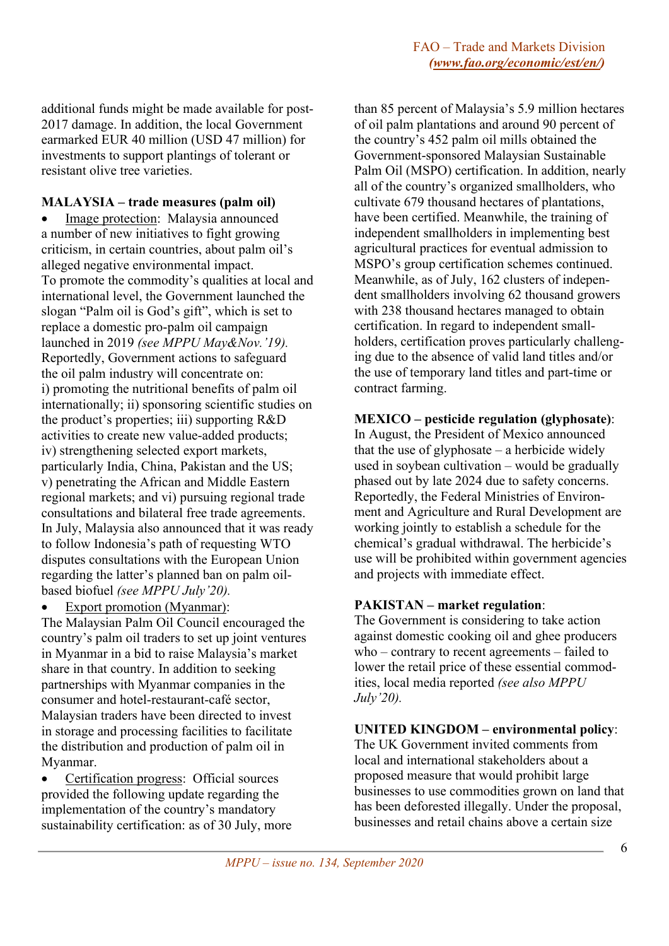additional funds might be made available for post-2017 damage. In addition, the local Government earmarked EUR 40 million (USD 47 million) for investments to support plantings of tolerant or resistant olive tree varieties.

## **MALAYSIA – trade measures (palm oil)**

Image protection: Malaysia announced a number of new initiatives to fight growing criticism, in certain countries, about palm oil's alleged negative environmental impact. To promote the commodity's qualities at local and international level, the Government launched the slogan "Palm oil is God's gift", which is set to replace a domestic pro-palm oil campaign launched in 2019 *(see MPPU May&Nov.'19).* Reportedly, Government actions to safeguard the oil palm industry will concentrate on: i) promoting the nutritional benefits of palm oil internationally; ii) sponsoring scientific studies on the product's properties; iii) supporting R&D activities to create new value-added products; iv) strengthening selected export markets, particularly India, China, Pakistan and the US; v) penetrating the African and Middle Eastern regional markets; and vi) pursuing regional trade consultations and bilateral free trade agreements. In July, Malaysia also announced that it was ready to follow Indonesia's path of requesting WTO disputes consultations with the European Union regarding the latter's planned ban on palm oilbased biofuel *(see MPPU July'20).*

## Export promotion (Myanmar):

The Malaysian Palm Oil Council encouraged the country's palm oil traders to set up joint ventures in Myanmar in a bid to raise Malaysia's market share in that country. In addition to seeking partnerships with Myanmar companies in the consumer and hotel-restaurant-café sector, Malaysian traders have been directed to invest in storage and processing facilities to facilitate the distribution and production of palm oil in Myanmar.

• Certification progress: Official sources provided the following update regarding the implementation of the country's mandatory sustainability certification: as of 30 July, more

than 85 percent of Malaysia's 5.9 million hectares of oil palm plantations and around 90 percent of the country's 452 palm oil mills obtained the Government-sponsored Malaysian Sustainable Palm Oil (MSPO) certification. In addition, nearly all of the country's organized smallholders, who cultivate 679 thousand hectares of plantations, have been certified. Meanwhile, the training of independent smallholders in implementing best agricultural practices for eventual admission to MSPO's group certification schemes continued. Meanwhile, as of July, 162 clusters of independent smallholders involving 62 thousand growers with 238 thousand hectares managed to obtain certification. In regard to independent smallholders, certification proves particularly challenging due to the absence of valid land titles and/or the use of temporary land titles and part-time or contract farming.

# **MEXICO – pesticide regulation (glyphosate)**:

In August, the President of Mexico announced that the use of glyphosate – a herbicide widely used in soybean cultivation – would be gradually phased out by late 2024 due to safety concerns. Reportedly, the Federal Ministries of Environment and Agriculture and Rural Development are working jointly to establish a schedule for the chemical's gradual withdrawal. The herbicide's use will be prohibited within government agencies and projects with immediate effect.

## **PAKISTAN – market regulation**:

The Government is considering to take action against domestic cooking oil and ghee producers who – contrary to recent agreements – failed to lower the retail price of these essential commodities, local media reported *(see also MPPU July'20).*

# **UNITED KINGDOM – environmental policy**:

The UK Government invited comments from local and international stakeholders about a proposed measure that would prohibit large businesses to use commodities grown on land that has been deforested illegally. Under the proposal, businesses and retail chains above a certain size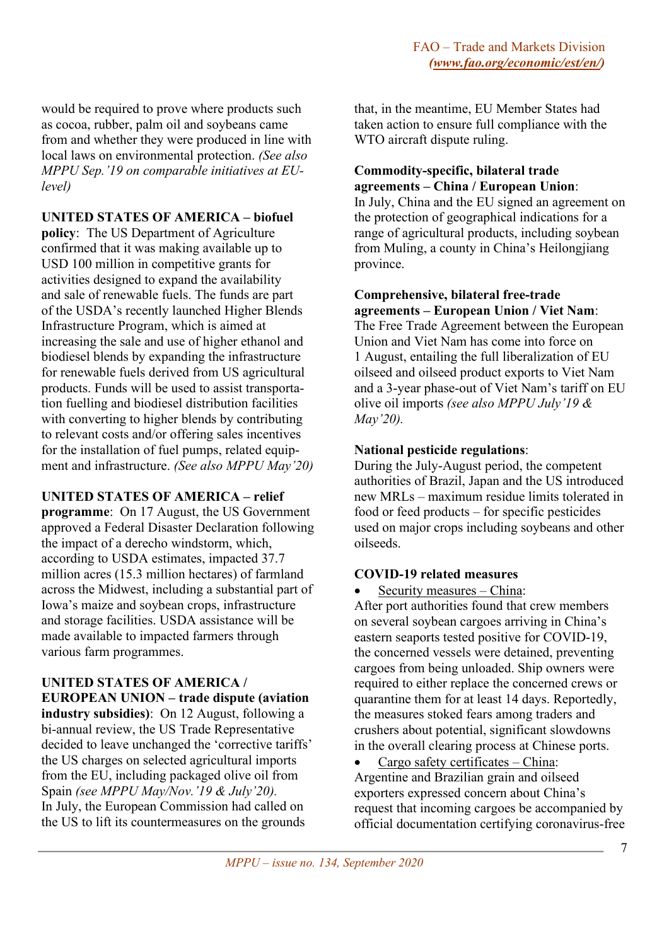would be required to prove where products such as cocoa, rubber, palm oil and soybeans came from and whether they were produced in line with local laws on environmental protection. *(See also MPPU Sep.'19 on comparable initiatives at EUlevel)*

# **UNITED STATES OF AMERICA – biofuel**

**policy**: The US Department of Agriculture confirmed that it was making available up to USD 100 million in competitive grants for activities designed to expand the availability and sale of renewable fuels. The funds are part of the USDA's recently launched Higher Blends Infrastructure Program, which is aimed at increasing the sale and use of higher ethanol and biodiesel blends by expanding the infrastructure for renewable fuels derived from US agricultural products. Funds will be used to assist transportation fuelling and biodiesel distribution facilities with converting to higher blends by contributing to relevant costs and/or offering sales incentives for the installation of fuel pumps, related equipment and infrastructure. *(See also MPPU May'20)*

## **UNITED STATES OF AMERICA – relief**

**programme**: On 17 August, the US Government approved a Federal Disaster Declaration following the impact of a derecho windstorm, which, according to USDA estimates, impacted 37.7 million acres (15.3 million hectares) of farmland across the Midwest, including a substantial part of Iowa's maize and soybean crops, infrastructure and storage facilities. USDA assistance will be made available to impacted farmers through various farm programmes.

# **UNITED STATES OF AMERICA /**

**EUROPEAN UNION – trade dispute (aviation industry subsidies)**: On 12 August, following a bi-annual review, the US Trade Representative decided to leave unchanged the 'corrective tariffs' the US charges on selected agricultural imports from the EU, including packaged olive oil from Spain *(see MPPU May/Nov.'19 & July'20).* In July, the European Commission had called on the US to lift its countermeasures on the grounds

that, in the meantime, EU Member States had taken action to ensure full compliance with the WTO aircraft dispute ruling.

## **Commodity-specific, bilateral trade agreements – China / European Union**:

In July, China and the EU signed an agreement on the protection of geographical indications for a range of agricultural products, including soybean from Muling, a county in China's Heilongjiang province.

## **Comprehensive, bilateral free-trade agreements – European Union / Viet Nam**:

The Free Trade Agreement between the European Union and Viet Nam has come into force on 1 August, entailing the full liberalization of EU oilseed and oilseed product exports to Viet Nam and a 3-year phase-out of Viet Nam's tariff on EU olive oil imports *(see also MPPU July'19 & May'20).*

# **National pesticide regulations**:

During the July-August period, the competent authorities of Brazil, Japan and the US introduced new MRLs – maximum residue limits tolerated in food or feed products – for specific pesticides used on major crops including soybeans and other oilseeds.

# **COVID-19 related measures**

• Security measures – China:

After port authorities found that crew members on several soybean cargoes arriving in China's eastern seaports tested positive for COVID-19, the concerned vessels were detained, preventing cargoes from being unloaded. Ship owners were required to either replace the concerned crews or quarantine them for at least 14 days. Reportedly, the measures stoked fears among traders and crushers about potential, significant slowdowns in the overall clearing process at Chinese ports.

• Cargo safety certificates – China: Argentine and Brazilian grain and oilseed exporters expressed concern about China's request that incoming cargoes be accompanied by official documentation certifying coronavirus-free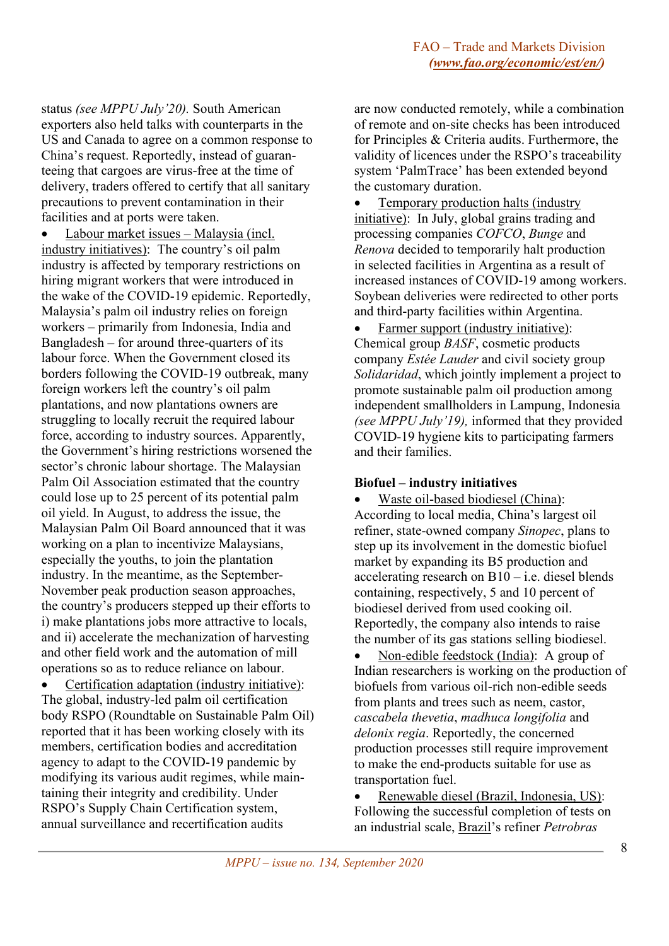status *(see MPPU July'20).* South American exporters also held talks with counterparts in the US and Canada to agree on a common response to China's request. Reportedly, instead of guaranteeing that cargoes are virus-free at the time of delivery, traders offered to certify that all sanitary precautions to prevent contamination in their facilities and at ports were taken.

• Labour market issues – Malaysia (incl. industry initiatives): The country's oil palm industry is affected by temporary restrictions on hiring migrant workers that were introduced in the wake of the COVID-19 epidemic. Reportedly, Malaysia's palm oil industry relies on foreign workers – primarily from Indonesia, India and Bangladesh – for around three-quarters of its labour force. When the Government closed its borders following the COVID-19 outbreak, many foreign workers left the country's oil palm plantations, and now plantations owners are struggling to locally recruit the required labour force, according to industry sources. Apparently, the Government's hiring restrictions worsened the sector's chronic labour shortage. The Malaysian Palm Oil Association estimated that the country could lose up to 25 percent of its potential palm oil yield. In August, to address the issue, the Malaysian Palm Oil Board announced that it was working on a plan to incentivize Malaysians, especially the youths, to join the plantation industry. In the meantime, as the September-November peak production season approaches, the country's producers stepped up their efforts to i) make plantations jobs more attractive to locals, and ii) accelerate the mechanization of harvesting and other field work and the automation of mill operations so as to reduce reliance on labour.

• Certification adaptation (industry initiative): The global, industry-led palm oil certification body RSPO (Roundtable on Sustainable Palm Oil) reported that it has been working closely with its members, certification bodies and accreditation agency to adapt to the COVID-19 pandemic by modifying its various audit regimes, while maintaining their integrity and credibility. Under RSPO's Supply Chain Certification system, annual surveillance and recertification audits

are now conducted remotely, while a combination of remote and on-site checks has been introduced for Principles & Criteria audits. Furthermore, the validity of licences under the RSPO's traceability system 'PalmTrace' has been extended beyond the customary duration.

• Temporary production halts (industry initiative): In July, global grains trading and processing companies *COFCO*, *Bunge* and *Renova* decided to temporarily halt production in selected facilities in Argentina as a result of increased instances of COVID-19 among workers. Soybean deliveries were redirected to other ports and third-party facilities within Argentina.

Farmer support (industry initiative): Chemical group *BASF*, cosmetic products company *Estée Lauder* and civil society group *Solidaridad*, which jointly implement a project to promote sustainable palm oil production among independent smallholders in Lampung, Indonesia *(see MPPU July'19),* informed that they provided COVID-19 hygiene kits to participating farmers and their families.

#### **Biofuel – industry initiatives**

• Waste oil-based biodiesel (China): According to local media, China's largest oil refiner, state-owned company *Sinopec*, plans to step up its involvement in the domestic biofuel market by expanding its B5 production and accelerating research on B10 – i.e. diesel blends containing, respectively, 5 and 10 percent of biodiesel derived from used cooking oil. Reportedly, the company also intends to raise the number of its gas stations selling biodiesel.

• Non-edible feedstock (India): A group of Indian researchers is working on the production of biofuels from various oil-rich non-edible seeds from plants and trees such as neem, castor, *cascabela thevetia*, *madhuca longifolia* and *delonix regia*. Reportedly, the concerned production processes still require improvement to make the end-products suitable for use as transportation fuel.

• Renewable diesel (Brazil, Indonesia, US): Following the successful completion of tests on an industrial scale, Brazil's refiner *Petrobras*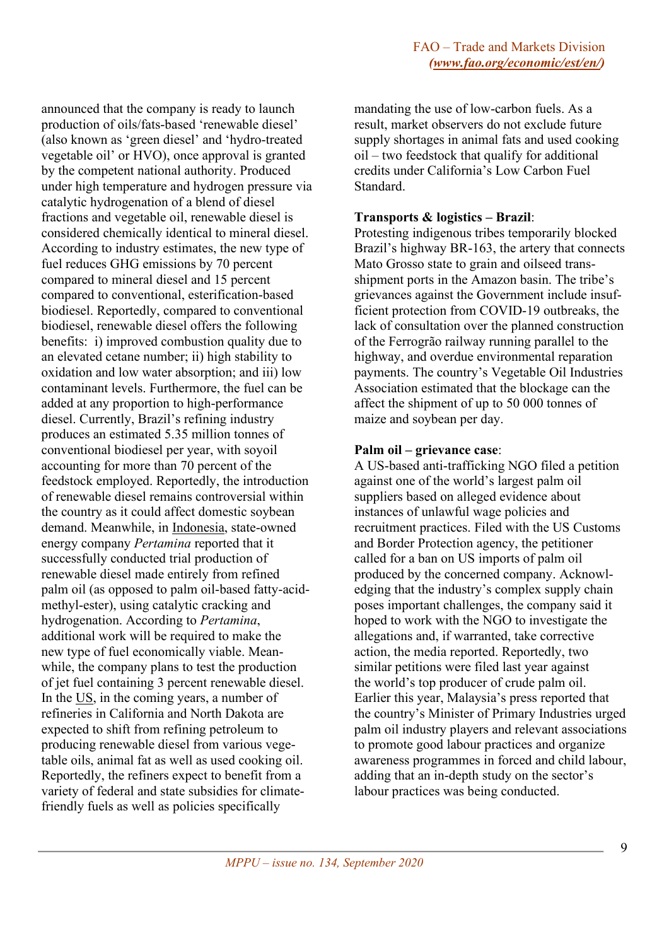announced that the company is ready to launch production of oils/fats-based 'renewable diesel' (also known as 'green diesel' and 'hydro-treated vegetable oil' or HVO), once approval is granted by the competent national authority. Produced under high temperature and hydrogen pressure via catalytic hydrogenation of a blend of diesel fractions and vegetable oil, renewable diesel is considered chemically identical to mineral diesel. According to industry estimates, the new type of fuel reduces GHG emissions by 70 percent compared to mineral diesel and 15 percent compared to conventional, esterification-based biodiesel. Reportedly, compared to conventional biodiesel, renewable diesel offers the following benefits: i) improved combustion quality due to an elevated cetane number; ii) high stability to oxidation and low water absorption; and iii) low contaminant levels. Furthermore, the fuel can be added at any proportion to high-performance diesel. Currently, Brazil's refining industry produces an estimated 5.35 million tonnes of conventional biodiesel per year, with soyoil accounting for more than 70 percent of the feedstock employed. Reportedly, the introduction of renewable diesel remains controversial within the country as it could affect domestic soybean demand. Meanwhile, in Indonesia, state-owned energy company *Pertamina* reported that it successfully conducted trial production of renewable diesel made entirely from refined palm oil (as opposed to palm oil-based fatty-acidmethyl-ester), using catalytic cracking and hydrogenation. According to *Pertamina*, additional work will be required to make the new type of fuel economically viable. Meanwhile, the company plans to test the production of jet fuel containing 3 percent renewable diesel. In the US, in the coming years, a number of refineries in California and North Dakota are expected to shift from refining petroleum to producing renewable diesel from various vegetable oils, animal fat as well as used cooking oil. Reportedly, the refiners expect to benefit from a variety of federal and state subsidies for climatefriendly fuels as well as policies specifically

mandating the use of low-carbon fuels. As a result, market observers do not exclude future supply shortages in animal fats and used cooking oil – two feedstock that qualify for additional credits under California's Low Carbon Fuel Standard.

#### **Transports & logistics – Brazil**:

Protesting indigenous tribes temporarily blocked Brazil's highway BR-163, the artery that connects Mato Grosso state to grain and oilseed transshipment ports in the Amazon basin. The tribe's grievances against the Government include insufficient protection from COVID-19 outbreaks, the lack of consultation over the planned construction of the Ferrogrão railway running parallel to the highway, and overdue environmental reparation payments. The country's Vegetable Oil Industries Association estimated that the blockage can the affect the shipment of up to 50 000 tonnes of maize and soybean per day.

#### **Palm oil – grievance case**:

A US-based anti-trafficking NGO filed a petition against one of the world's largest palm oil suppliers based on alleged evidence about instances of unlawful wage policies and recruitment practices. Filed with the US Customs and Border Protection agency, the petitioner called for a ban on US imports of palm oil produced by the concerned company. Acknowledging that the industry's complex supply chain poses important challenges, the company said it hoped to work with the NGO to investigate the allegations and, if warranted, take corrective action, the media reported. Reportedly, two similar petitions were filed last year against the world's top producer of crude palm oil. Earlier this year, Malaysia's press reported that the country's Minister of Primary Industries urged palm oil industry players and relevant associations to promote good labour practices and organize awareness programmes in forced and child labour, adding that an in-depth study on the sector's labour practices was being conducted.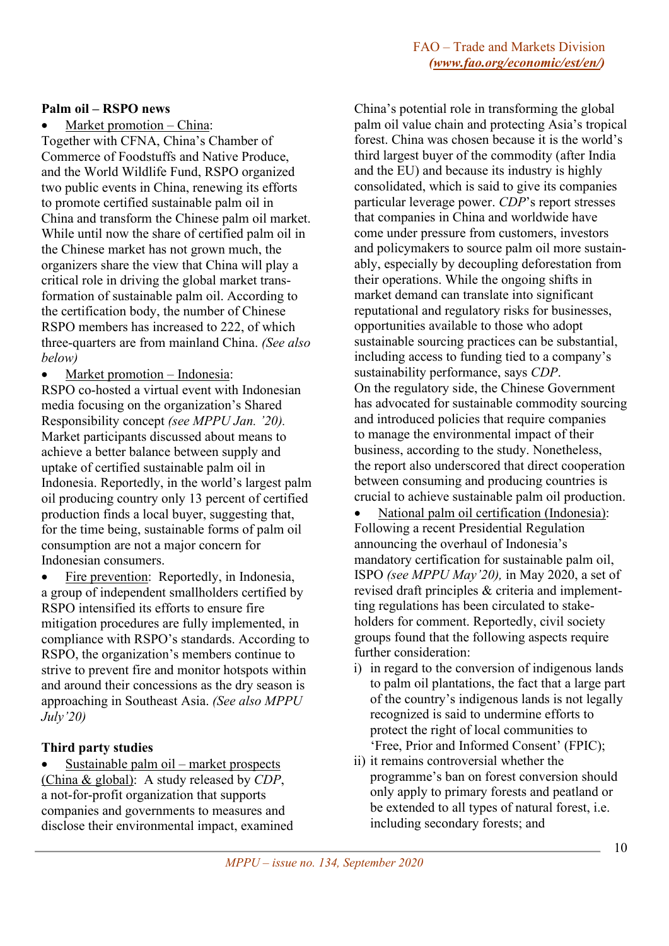#### **Palm oil – RSPO news**

Market promotion - China: Together with CFNA, China's Chamber of Commerce of Foodstuffs and Native Produce, and the World Wildlife Fund, RSPO organized two public events in China, renewing its efforts to promote certified sustainable palm oil in China and transform the Chinese palm oil market. While until now the share of certified palm oil in the Chinese market has not grown much, the organizers share the view that China will play a critical role in driving the global market transformation of sustainable palm oil. According to the certification body, the number of Chinese RSPO members has increased to 222, of which three-quarters are from mainland China. *(See also below)*

Market promotion – Indonesia:

RSPO co-hosted a virtual event with Indonesian media focusing on the organization's Shared Responsibility concept *(see MPPU Jan. '20).* Market participants discussed about means to achieve a better balance between supply and uptake of certified sustainable palm oil in Indonesia. Reportedly, in the world's largest palm oil producing country only 13 percent of certified production finds a local buyer, suggesting that, for the time being, sustainable forms of palm oil consumption are not a major concern for Indonesian consumers.

• Fire prevention: Reportedly, in Indonesia, a group of independent smallholders certified by RSPO intensified its efforts to ensure fire mitigation procedures are fully implemented, in compliance with RSPO's standards. According to RSPO, the organization's members continue to strive to prevent fire and monitor hotspots within and around their concessions as the dry season is approaching in Southeast Asia. *(See also MPPU July'20)*

## **Third party studies**

• Sustainable palm oil – market prospects (China & global): A study released by *CDP*, a not-for-profit organization that supports companies and governments to measures and disclose their environmental impact, examined

China's potential role in transforming the global palm oil value chain and protecting Asia's tropical forest. China was chosen because it is the world's third largest buyer of the commodity (after India and the EU) and because its industry is highly consolidated, which is said to give its companies particular leverage power. *CDP*'s report stresses that companies in China and worldwide have come under pressure from customers, investors and policymakers to source palm oil more sustainably, especially by decoupling deforestation from their operations. While the ongoing shifts in market demand can translate into significant reputational and regulatory risks for businesses, opportunities available to those who adopt sustainable sourcing practices can be substantial, including access to funding tied to a company's sustainability performance, says *CDP*. On the regulatory side, the Chinese Government has advocated for sustainable commodity sourcing and introduced policies that require companies to manage the environmental impact of their business, according to the study. Nonetheless, the report also underscored that direct cooperation between consuming and producing countries is crucial to achieve sustainable palm oil production.

• National palm oil certification (Indonesia): Following a recent Presidential Regulation announcing the overhaul of Indonesia's mandatory certification for sustainable palm oil, ISPO *(see MPPU May'20),* in May 2020, a set of revised draft principles & criteria and implementting regulations has been circulated to stakeholders for comment. Reportedly, civil society groups found that the following aspects require further consideration:

- i) in regard to the conversion of indigenous lands to palm oil plantations, the fact that a large part of the country's indigenous lands is not legally recognized is said to undermine efforts to protect the right of local communities to 'Free, Prior and Informed Consent' (FPIC);
- ii) it remains controversial whether the programme's ban on forest conversion should only apply to primary forests and peatland or be extended to all types of natural forest, i.e. including secondary forests; and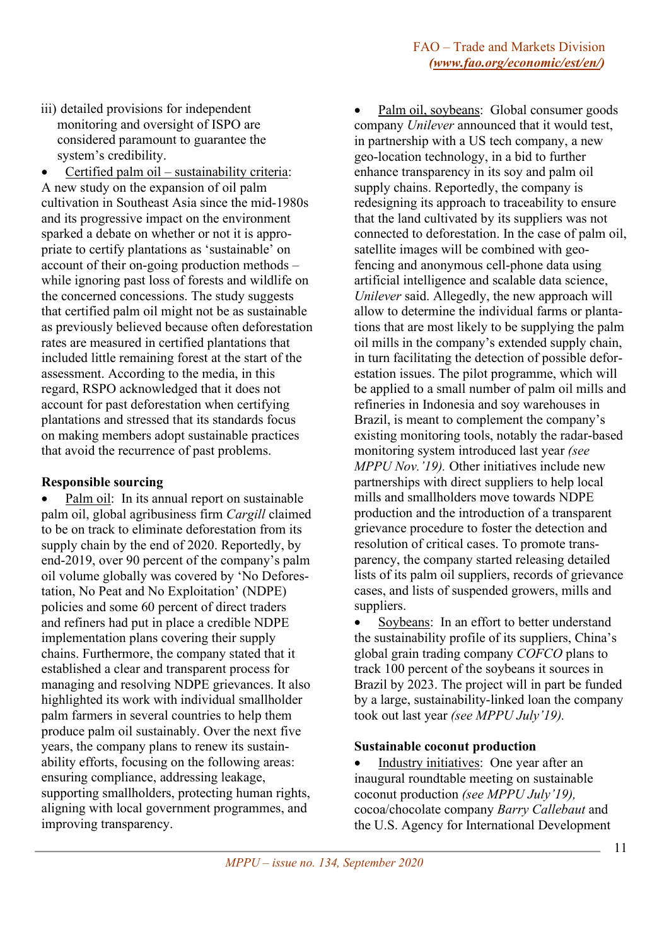iii) detailed provisions for independent monitoring and oversight of ISPO are considered paramount to guarantee the system's credibility.

• Certified palm oil – sustainability criteria: A new study on the expansion of oil palm cultivation in Southeast Asia since the mid-1980s and its progressive impact on the environment sparked a debate on whether or not it is appropriate to certify plantations as 'sustainable' on account of their on-going production methods – while ignoring past loss of forests and wildlife on the concerned concessions. The study suggests that certified palm oil might not be as sustainable as previously believed because often deforestation rates are measured in certified plantations that included little remaining forest at the start of the assessment. According to the media, in this regard, RSPO acknowledged that it does not account for past deforestation when certifying plantations and stressed that its standards focus on making members adopt sustainable practices that avoid the recurrence of past problems.

## **Responsible sourcing**

Palm oil: In its annual report on sustainable palm oil, global agribusiness firm *Cargill* claimed to be on track to eliminate deforestation from its supply chain by the end of 2020. Reportedly, by end-2019, over 90 percent of the company's palm oil volume globally was covered by 'No Deforestation, No Peat and No Exploitation' (NDPE) policies and some 60 percent of direct traders and refiners had put in place a credible NDPE implementation plans covering their supply chains. Furthermore, the company stated that it established a clear and transparent process for managing and resolving NDPE grievances. It also highlighted its work with individual smallholder palm farmers in several countries to help them produce palm oil sustainably. Over the next five years, the company plans to renew its sustainability efforts, focusing on the following areas: ensuring compliance, addressing leakage, supporting smallholders, protecting human rights, aligning with local government programmes, and improving transparency.

• Palm oil, soybeans: Global consumer goods company *Unilever* announced that it would test, in partnership with a US tech company, a new geo-location technology, in a bid to further enhance transparency in its soy and palm oil supply chains. Reportedly, the company is redesigning its approach to traceability to ensure that the land cultivated by its suppliers was not connected to deforestation. In the case of palm oil, satellite images will be combined with geofencing and anonymous cell-phone data using artificial intelligence and scalable data science, *Unilever* said. Allegedly, the new approach will allow to determine the individual farms or plantations that are most likely to be supplying the palm oil mills in the company's extended supply chain, in turn facilitating the detection of possible deforestation issues. The pilot programme, which will be applied to a small number of palm oil mills and refineries in Indonesia and soy warehouses in Brazil, is meant to complement the company's existing monitoring tools, notably the radar-based monitoring system introduced last year *(see MPPU Nov.'19).* Other initiatives include new partnerships with direct suppliers to help local mills and smallholders move towards NDPE production and the introduction of a transparent grievance procedure to foster the detection and resolution of critical cases. To promote transparency, the company started releasing detailed lists of its palm oil suppliers, records of grievance cases, and lists of suspended growers, mills and suppliers.

Soybeans: In an effort to better understand the sustainability profile of its suppliers, China's global grain trading company *COFCO* plans to track 100 percent of the soybeans it sources in Brazil by 2023. The project will in part be funded by a large, sustainability-linked loan the company took out last year *(see MPPU July'19).*

## **Sustainable coconut production**

Industry initiatives: One year after an inaugural roundtable meeting on sustainable coconut production *(see MPPU July'19),* cocoa/chocolate company *Barry Callebaut* and the U.S. Agency for International Development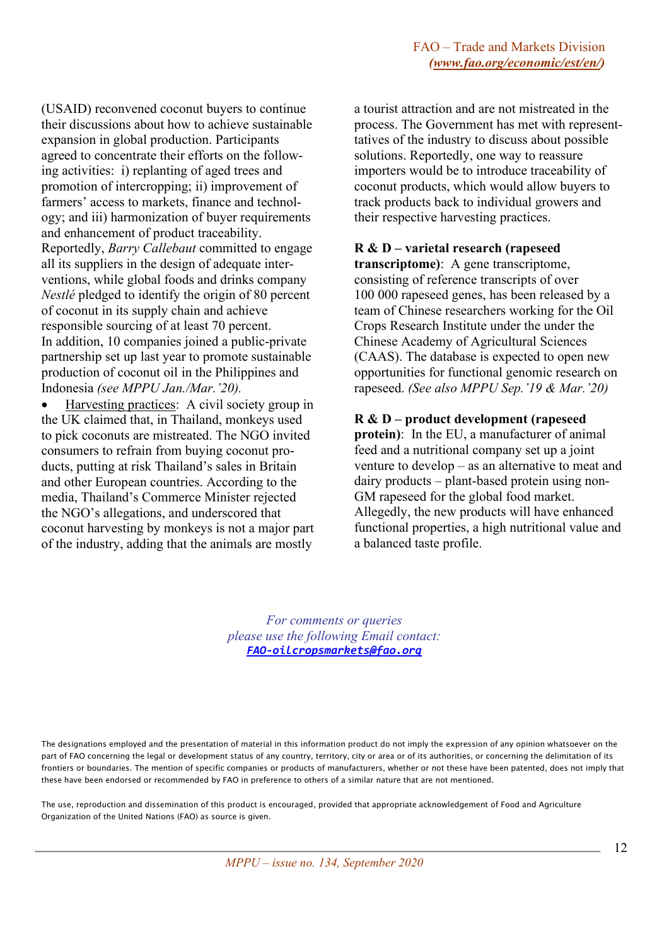(USAID) reconvened coconut buyers to continue their discussions about how to achieve sustainable expansion in global production. Participants agreed to concentrate their efforts on the following activities: i) replanting of aged trees and promotion of intercropping; ii) improvement of farmers' access to markets, finance and technology; and iii) harmonization of buyer requirements and enhancement of product traceability. Reportedly, *Barry Callebaut* committed to engage all its suppliers in the design of adequate interventions, while global foods and drinks company *Nestlé* pledged to identify the origin of 80 percent of coconut in its supply chain and achieve responsible sourcing of at least 70 percent. In addition, 10 companies joined a public-private partnership set up last year to promote sustainable production of coconut oil in the Philippines and Indonesia *(see MPPU Jan./Mar.'20).*

• Harvesting practices: A civil society group in the UK claimed that, in Thailand, monkeys used to pick coconuts are mistreated. The NGO invited consumers to refrain from buying coconut products, putting at risk Thailand's sales in Britain and other European countries. According to the media, Thailand's Commerce Minister rejected the NGO's allegations, and underscored that coconut harvesting by monkeys is not a major part of the industry, adding that the animals are mostly

a tourist attraction and are not mistreated in the process. The Government has met with representtatives of the industry to discuss about possible solutions. Reportedly, one way to reassure importers would be to introduce traceability of coconut products, which would allow buyers to track products back to individual growers and their respective harvesting practices.

#### **R & D – varietal research (rapeseed**

**transcriptome)**: A gene transcriptome, consisting of reference transcripts of over 100 000 rapeseed genes, has been released by a team of Chinese researchers working for the Oil Crops Research Institute under the under the Chinese Academy of Agricultural Sciences (CAAS). The database is expected to open new opportunities for functional genomic research on rapeseed. *(See also MPPU Sep.'19 & Mar.'20)*

#### **R & D – product development (rapeseed**

**protein)**: In the EU, a manufacturer of animal feed and a nutritional company set up a joint venture to develop – as an alternative to meat and dairy products – plant-based protein using non-GM rapeseed for the global food market. Allegedly, the new products will have enhanced functional properties, a high nutritional value and a balanced taste profile.

*For comments or queries please use the following Email contact: [FAO-oilcropsmarkets@fao.org](mailto:FAO-oilcropsmarkets@fao.org)*

The designations employed and the presentation of material in this information product do not imply the expression of any opinion whatsoever on the part of FAO concerning the legal or development status of any country, territory, city or area or of its authorities, or concerning the delimitation of its frontiers or boundaries. The mention of specific companies or products of manufacturers, whether or not these have been patented, does not imply that these have been endorsed or recommended by FAO in preference to others of a similar nature that are not mentioned.

The use, reproduction and dissemination of this product is encouraged, provided that appropriate acknowledgement of Food and Agriculture Organization of the United Nations (FAO) as source is given.